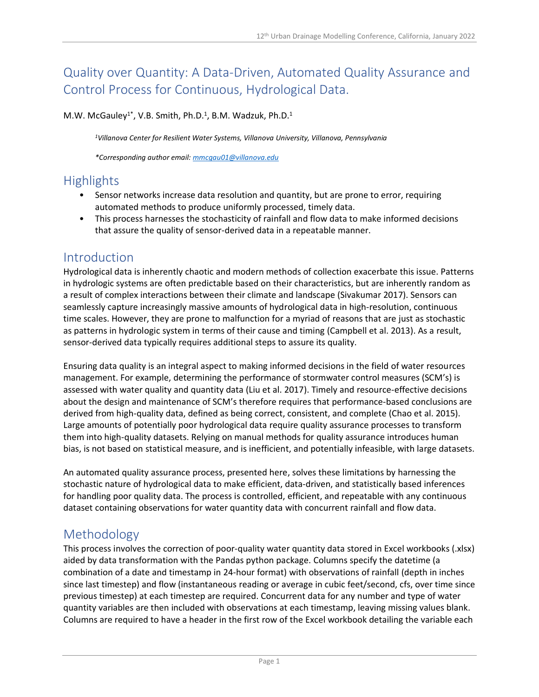# Quality over Quantity: A Data-Driven, Automated Quality Assurance and Control Process for Continuous, Hydrological Data.

M.W. McGauley<sup>1\*</sup>, V.B. Smith, Ph.D.<sup>1</sup>, B.M. Wadzuk, Ph.D.<sup>1</sup>

*<sup>1</sup>Villanova Center for Resilient Water Systems, Villanova University, Villanova, Pennsylvania*

*\*Corresponding author email: [mmcgau01@villanova.edu](mailto:mmcgau01@villanova.edu)*

## **Highlights**

- Sensor networks increase data resolution and quantity, but are prone to error, requiring automated methods to produce uniformly processed, timely data.
- This process harnesses the stochasticity of rainfall and flow data to make informed decisions that assure the quality of sensor-derived data in a repeatable manner.

#### Introduction

Hydrological data is inherently chaotic and modern methods of collection exacerbate this issue. Patterns in hydrologic systems are often predictable based on their characteristics, but are inherently random as a result of complex interactions between their climate and landscape (Sivakumar 2017). Sensors can seamlessly capture increasingly massive amounts of hydrological data in high-resolution, continuous time scales. However, they are prone to malfunction for a myriad of reasons that are just as stochastic as patterns in hydrologic system in terms of their cause and timing (Campbell et al. 2013). As a result, sensor-derived data typically requires additional steps to assure its quality.

Ensuring data quality is an integral aspect to making informed decisions in the field of water resources management. For example, determining the performance of stormwater control measures (SCM's) is assessed with water quality and quantity data (Liu et al. 2017). Timely and resource-effective decisions about the design and maintenance of SCM's therefore requires that performance-based conclusions are derived from high-quality data, defined as being correct, consistent, and complete (Chao et al. 2015). Large amounts of potentially poor hydrological data require quality assurance processes to transform them into high-quality datasets. Relying on manual methods for quality assurance introduces human bias, is not based on statistical measure, and is inefficient, and potentially infeasible, with large datasets.

An automated quality assurance process, presented here, solves these limitations by harnessing the stochastic nature of hydrological data to make efficient, data-driven, and statistically based inferences for handling poor quality data. The process is controlled, efficient, and repeatable with any continuous dataset containing observations for water quantity data with concurrent rainfall and flow data.

## Methodology

This process involves the correction of poor-quality water quantity data stored in Excel workbooks (.xlsx) aided by data transformation with the Pandas python package. Columns specify the datetime (a combination of a date and timestamp in 24-hour format) with observations of rainfall (depth in inches since last timestep) and flow (instantaneous reading or average in cubic feet/second, cfs, over time since previous timestep) at each timestep are required. Concurrent data for any number and type of water quantity variables are then included with observations at each timestamp, leaving missing values blank. Columns are required to have a header in the first row of the Excel workbook detailing the variable each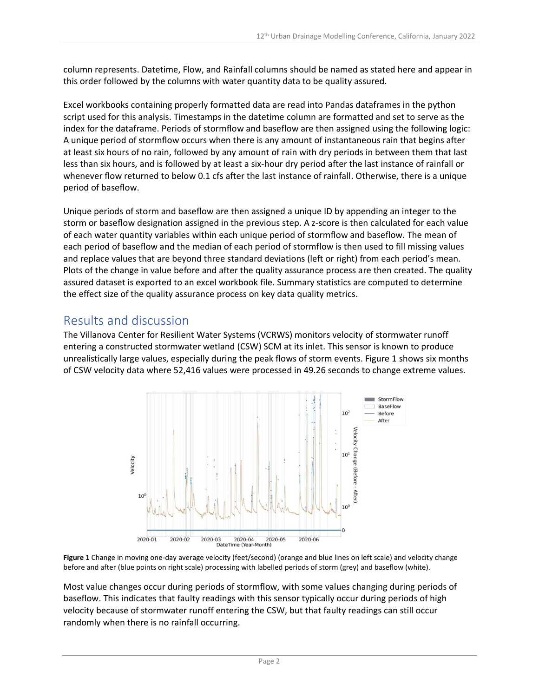column represents. Datetime, Flow, and Rainfall columns should be named as stated here and appear in this order followed by the columns with water quantity data to be quality assured.

Excel workbooks containing properly formatted data are read into Pandas dataframes in the python script used for this analysis. Timestamps in the datetime column are formatted and set to serve as the index for the dataframe. Periods of stormflow and baseflow are then assigned using the following logic: A unique period of stormflow occurs when there is any amount of instantaneous rain that begins after at least six hours of no rain, followed by any amount of rain with dry periods in between them that last less than six hours, and is followed by at least a six-hour dry period after the last instance of rainfall or whenever flow returned to below 0.1 cfs after the last instance of rainfall. Otherwise, there is a unique period of baseflow.

Unique periods of storm and baseflow are then assigned a unique ID by appending an integer to the storm or baseflow designation assigned in the previous step. A z-score is then calculated for each value of each water quantity variables within each unique period of stormflow and baseflow. The mean of each period of baseflow and the median of each period of stormflow is then used to fill missing values and replace values that are beyond three standard deviations (left or right) from each period's mean. Plots of the change in value before and after the quality assurance process are then created. The quality assured dataset is exported to an excel workbook file. Summary statistics are computed to determine the effect size of the quality assurance process on key data quality metrics.

## Results and discussion

The Villanova Center for Resilient Water Systems (VCRWS) monitors velocity of stormwater runoff entering a constructed stormwater wetland (CSW) SCM at its inlet. This sensor is known to produce unrealistically large values, especially during the peak flows of storm events. Figure 1 shows six months of CSW velocity data where 52,416 values were processed in 49.26 seconds to change extreme values.



**Figure 1** Change in moving one-day average velocity (feet/second) (orange and blue lines on left scale) and velocity change before and after (blue points on right scale) processing with labelled periods of storm (grey) and baseflow (white).

Most value changes occur during periods of stormflow, with some values changing during periods of baseflow. This indicates that faulty readings with this sensor typically occur during periods of high velocity because of stormwater runoff entering the CSW, but that faulty readings can still occur randomly when there is no rainfall occurring.